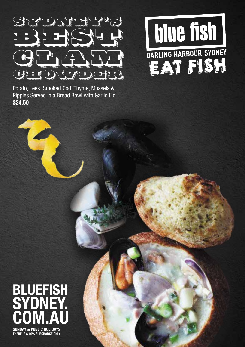

Potato, Leek, Smoked Cod, Thyme, Mussels & Pippies Served in a Bread Bowl with Garlic Lid **\$24.50**



## **SUNDAY & PUBLIC HOLIDAYS THERE IS A 10% SURCHARGE ONLY BLUEFISH SYDNEY. COM.AU**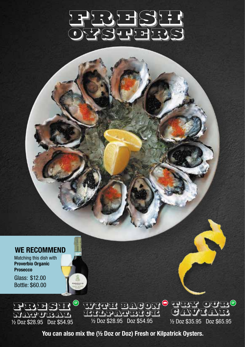

#### **WE RECOMMEND**

Matching this dish with **Proverbio Organic Prosecco** 

Glass: \$12.00 Bottle: \$60.00



posices



½ Doz \$35.95 Doz \$65.95

**You can also mix the (½ Doz or Doz) Fresh or Kilpatrick Oysters.**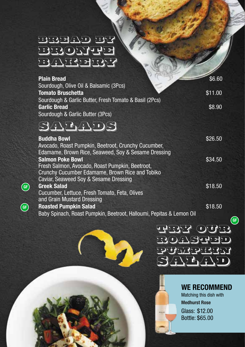## BREAD BY BBONTEE BAKERIA

**GF**

**GF**

| <b>Plain Bread</b>                                                   | \$6.60  |
|----------------------------------------------------------------------|---------|
| Sourdough, Olive Oil & Balsamic (3Pcs)                               |         |
| <b>Tomato Bruschetta</b>                                             | \$11.00 |
| Sourdough & Garlic Butter, Fresh Tomato & Basil (2Pcs)               |         |
| <b>Garlic Bread</b>                                                  | \$8.90  |
| Sourdough & Garlic Butter (3Pcs)                                     |         |
|                                                                      |         |
| SGGAL S                                                              |         |
|                                                                      |         |
| <b>Buddha Bowl</b>                                                   | \$26.50 |
| Avocado, Roast Pumpkin, Beetroot, Crunchy Cucumber,                  |         |
| Edamame, Brown Rice, Seaweed, Soy & Sesame Dressing                  |         |
| <b>Salmon Poke Bowl</b>                                              | \$34.50 |
| Fresh Salmon, Avocado, Roast Pumpkin, Beetroot,                      |         |
| Crunchy Cucumber Edamame, Brown Rice and Tobiko                      |         |
| Caviar, Seaweed Soy & Sesame Dressing                                |         |
| <b>Greek Salad</b>                                                   | \$18.50 |
| Cucumber, Lettuce, Fresh Tomato, Feta, Olives                        |         |
| and Grain Mustard Dressing                                           |         |
| <b>Roasted Pumpkin Salad</b>                                         | \$18.50 |
| Baby Spinach, Roast Pumpkin, Beetroot, Halloumi, Pepitas & Lemon Oil |         |
|                                                                      |         |

7



#### **WE RECOMMEND**

Matching this dish with **Medhurst Rose**  Glass: \$12.00 Bottle: \$65.00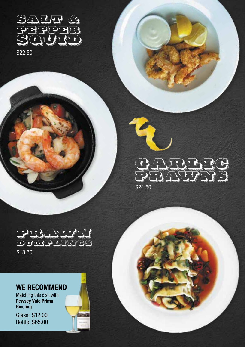SALT & PEPPER  $O(\sqrt{1})$ 

\$22.50

## GARRIC PRAWNS \$24.50

PRAWN DUMPLINGS \$18.50

#### **WE RECOMMEND**

Matching this dish with **Pewsey Vale Prima Riesling**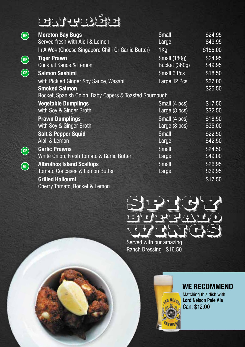# entre d

| GF) | <b>Moreton Bay Bugs</b>                                | Small                   | \$24.95  |
|-----|--------------------------------------------------------|-------------------------|----------|
|     | Served fresh with Aioli & Lemon                        | Large                   | \$49.95  |
|     | In A Wok (Choose Singapore Chilli Or Garlic Butter)    | $1$ Kg                  | \$155.00 |
| GF) | <b>Tiger Prawn</b>                                     | <b>Small (180g)</b>     | \$24.95  |
|     | <b>Cocktail Sauce &amp; Lemon</b>                      | Bucket (360g)           | \$49.95  |
| GF  | <b>Salmon Sashimi</b>                                  | Small 6 Pcs             | \$18.50  |
|     | with Pickled Ginger Soy Sauce, Wasabi                  | Large 12 Pcs            | \$37.00  |
|     | <b>Smoked Salmon</b>                                   |                         | \$25.50  |
|     | Rocket, Spanish Onion, Baby Capers & Toasted Sourdough |                         |          |
|     | <b>Vegetable Dumplings</b>                             | Small (4 pcs)           | \$17.50  |
|     | with Soy & Ginger Broth                                | Large $(8 \text{ pcs})$ | \$32.50  |
|     | <b>Prawn Dumplings</b>                                 | Small (4 pcs)           | \$18.50  |
|     | with Soy & Ginger Broth                                | Large (8 pcs)           | \$35.00  |
|     | <b>Salt &amp; Pepper Squid</b>                         | Small                   | \$22.50  |
|     | Aioli & Lemon                                          | Large                   | \$42.50  |
| GF  | <b>Garlic Prawns</b>                                   | Small                   | \$24.50  |
|     | White Onion, Fresh Tomato & Garlic Butter              | Large                   | \$49.00  |
| GF  | <b>Albrolhos Island Scallops</b>                       | Small                   | \$26.95  |
|     | Tomato Concasee & Lemon Butter                         | Large                   | \$39.95  |
|     | <b>Grilled Halloumi</b>                                |                         | \$17.50  |
|     | Cherry Tomato, Rocket & Lemon                          |                         |          |

WINGS Served with our amazing Ranch Dressing \$16.50

SPICY T

BUFFFFADO

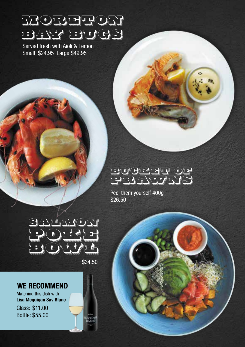# Moreton BAY BUGS

Served fresh with Aioli & Lemon Small \$24.95 Large \$49.95

## BUCKEHT OF PRAWNS

Peel them yourself 400g \$26.50



\$34.50

#### **WE RECOMMEND**

Matching this dish with **Lisa Mcguigan Sav Blanc**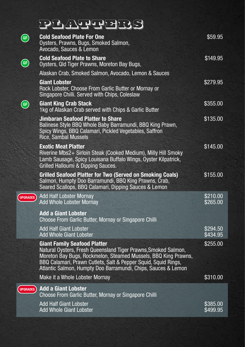# platters

| GF              | <b>Cold Seafood Plate For One</b><br>Oysters, Prawns, Bugs, Smoked Salmon,<br>Avocado, Sauces & Lemon                                                                                                                                                                                                      | \$59.95              |
|-----------------|------------------------------------------------------------------------------------------------------------------------------------------------------------------------------------------------------------------------------------------------------------------------------------------------------------|----------------------|
| GF              | <b>Cold Seafood Plate to Share</b><br>Oysters, Qld Tiger Prawns, Moreton Bay Bugs,                                                                                                                                                                                                                         | \$149.95             |
|                 | Alaskan Crab, Smoked Salmon, Avocado, Lemon & Sauces                                                                                                                                                                                                                                                       |                      |
|                 | <b>Giant Lobster</b><br>Rock Lobster, Choose From Garlic Butter or Mornay or<br>Singapore Chilli. Served with Chips, Coleslaw                                                                                                                                                                              | \$279.95             |
| GF              | <b>Giant King Crab Stack</b><br>1kg of Alaskan Crab served with Chips & Garlic Butter                                                                                                                                                                                                                      | \$355.00             |
|                 | <b>Jimbaran Seafood Platter to Share</b><br>Balinese Style BBQ Whole Baby Barramundi, BBQ King Prawn,<br>Spicy Wings, BBQ Calamari, Pickled Vegetables, Saffron<br><b>Rice, Sambal Mussels</b>                                                                                                             | \$135.00             |
|                 | <b>Exotic Meat Platter</b><br>Riverine Mbs2+ Sirloin Steak (Cooked Medium), Milly Hill Smoky<br>Lamb Sausage, Spicy Louisana Buffalo Wings, Oyster Kilpatrick,<br>Grilled Halloumi & Dipping Sauces.                                                                                                       | \$145.00             |
|                 | <b>Grilled Seafood Platter for Two (Served on Smoking Coals)</b><br>Salmon, Humpty Doo Barramundi, BBQ King Prawns, Crab,<br>Seared Scallops, BBQ Calamari, Dipping Sauces & Lemon                                                                                                                         | \$155.00             |
| <b>UPGRADES</b> | <b>Add Half Lobster Mornay</b><br><b>Add Whole Lobster Mornay</b>                                                                                                                                                                                                                                          | \$210.00<br>\$265.00 |
|                 | <b>Add a Giant Lobster</b><br>Choose From Garlic Butter, Mornay or Singapore Chilli                                                                                                                                                                                                                        |                      |
|                 | Add Half Giant Lobster<br><b>Add Whole Giant Lobster</b>                                                                                                                                                                                                                                                   | \$294.50<br>\$434.95 |
|                 | <b>Giant Family Seafood Platter</b><br>Natural Oysters, Fresh Queensland Tiger Prawns, Smoked Salmon,<br>Moreton Bay Bugs, Rockmelon, Steamed Mussels, BBQ King Prawns,<br>BBQ Calamari, Prawn Cutlets, Salt & Pepper Squid, Squid Rings,<br>Atlantic Salmon, Humpty Doo Barramundi, Chips, Sauces & Lemon | \$255.00             |
|                 | Make it a Whole Lobster Mornay                                                                                                                                                                                                                                                                             | \$310.00             |
| <b>UPGRADES</b> | <b>Add a Giant Lobster</b><br>Choose From Garlic Butter, Mornay or Singapore Chilli                                                                                                                                                                                                                        |                      |
|                 | <b>Add Half Giant Lobster</b><br><b>Add Whole Giant Lobster</b>                                                                                                                                                                                                                                            | \$385.00<br>\$499.95 |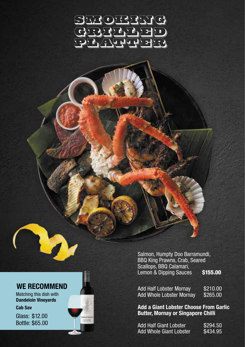## SMOKING GRILLED PLATTER ??

Matching this dish with **Dandeloin Vineyards Cab Sav** 

Glass: \$12.00 Bottle: \$65.00

Salmon, Humpty Doo Barramundi, BBQ King Prawns, Crab, Seared Scallops, BBQ Calamari, Lemon & Dipping Sauces \$155.00

**WE RECOMMEND**<br>Matching this dish with **Add Half Lobster Mornay** \$210.00<br>Add Whole Lobster Mornay \$265.00 Add Whole Lobster Mornay

> **Add a Giant Lobster Choose From Garlic Butter, Mornay or Singapore Chilli**

| Add Half Giant Lobster  | \$294.50 |
|-------------------------|----------|
| Add Whole Giant Lobster | \$434.95 |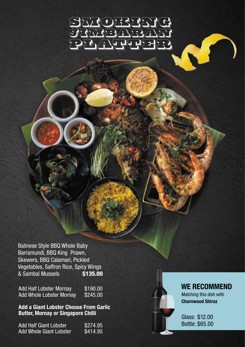

Balinese Style BBQ Whole Baby Barramundi, BBQ King Prawn, Skewers, BBQ Calamari, Pickled Vegetables, Saffron Rice, Spicy Wings & Sambal Mussels \$135.00

Add Half Lobster Mornay \$190.00<br>Add Whole Lobster Mornay \$245.00 Add Whole Lobster Mornay

**Add a Giant Lobster Choose From Garlic Butter, Mornay or Singapore Chilli** 

Add Half Giant Lobster \$274.95<br>Add Whole Giant Lobster \$414.95 Add Whole Giant Lobster



#### **WE RECOMMEND**

Matching this dish with **Charnwood Shiraz**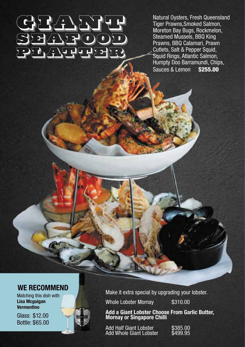# GIANT COMPANY TO THE COMPANY OF THE COMPANY OF THE COMPANY OF THE COMPANY OF THE COMPANY OF THE COMPANY OF THE SEEROOD PRATTER REC

Natural Oysters, Fresh Queensland Tiger Prawns,Smoked Salmon, Moreton Bay Bugs, Rockmelon, Steamed Mussels, BBQ King Prawns, BBQ Calamari, Prawn Cutlets, Salt & Pepper Squid, Squid Rings, Atlantic Salmon, Humpty Doo Barramundi, Chips, Sauces & Lemon

#### **WE RECOMMEND**

Matching this dish with **Lisa Mcguigan Vermentino** 

Glass: \$12.00 Bottle: \$65.00



Make it extra special by upgrading your lobster.

Whole Lobster Mornay \$310.00

**Add a Giant Lobster Choose From Garlic Butter, Mornay or Singapore Chilli** 

Add Half Giant Lobster \$385.00<br>Add Whole Giant Lobster \$499.95 Add Whole Giant Lobster

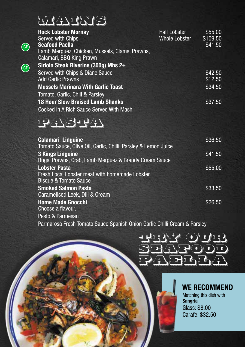## mains

**GF**

**GF**

| <b>Rock Lobster Mornay</b><br>Served with Chips                                                            | <b>Half Lobster</b><br>Whole Lobster | \$55.00<br>\$109.50 |
|------------------------------------------------------------------------------------------------------------|--------------------------------------|---------------------|
| <b>Seafood Paella</b><br>Lamb Merguez, Chicken, Mussels, Clams, Prawns,<br>Calamari, BBQ King Prawn        |                                      | \$41.50             |
| Sirloin Steak Riverine (300g) Mbs 2+                                                                       |                                      |                     |
| Served with Chips & Diane Sauce<br><b>Add Garlic Prawns</b>                                                |                                      | \$42.50<br>\$12.50  |
| <b>Mussels Marinara With Garlic Toast</b><br>Tomato, Garlic, Chill & Parsley                               |                                      | \$34.50             |
| <b>18 Hour Slow Braised Lamb Shanks</b><br>Cooked In A Rich Sauce Served With Mash                         |                                      | \$37.50             |
| 124 SULA                                                                                                   |                                      |                     |
| <b>Calamari Linguine</b><br>Tomato Sauce, Olive Oil, Garlic, Chilli, Parsley & Lemon Juice                 |                                      | \$36.50             |
| <b>3 Kings Linguine</b><br>Bugs, Prawns, Crab, Lamb Merguez & Brandy Cream Sauce                           |                                      | \$41.50             |
| <b>Lobster Pasta</b><br>Fresh Local Lobster meat with homemade Lobster<br><b>Bisque &amp; Tomato Sauce</b> |                                      | \$55.00             |
| <b>Smoked Salmon Pasta</b><br>Caramelised Leek, Dill & Cream                                               |                                      | \$33.50             |
| <b>Home Made Gnocchi</b><br>Choose a flavour.                                                              |                                      | \$26.50             |

Pesto & Parmesan

Parmarosa Fresh Tomato Sauce Spanish Onion Garlic Chilli Cream & Parsley



#### **WE RECOMMEND**

Matching this dish with **Sangria**  Glass: \$8.00 Carafe: \$32.50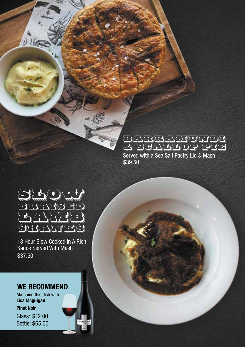### Barramundi & Scallop Pie

\$39.50 Served with a Sea Salt Pastry Lid & Mash



 $165$ 

18 Hour Slow Cooked In A Rich Sauce Served With Mash \$37.50

#### **WE RECOMMEND**

Matching this dish with **Lisa Mcguigan** 

#### **Pinot Noir**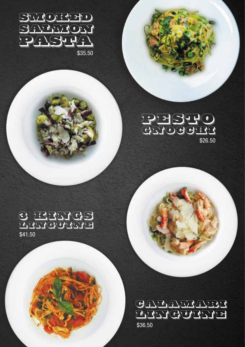

## PESTO GETOGGHT \$26.50

### 3 Kings Linguine \$41.50

\$36.50 GALAMARI **LINGUINE**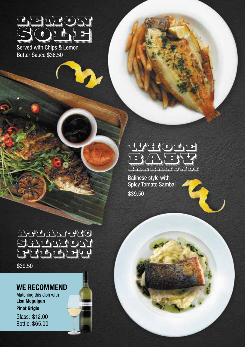

Served with Chips & Lemon Butter Sauce \$36.50

### ECHT<sub>V</sub> BABY. BARRAMUNDI

Balinese style with Spicy Tomato Sambal \$39.50

Atlantic SALETOM Fille The

\$39.50

#### **WE RECOMMEND**

Matching this dish with **Lisa Mcguigan**

**Pinot Grigio**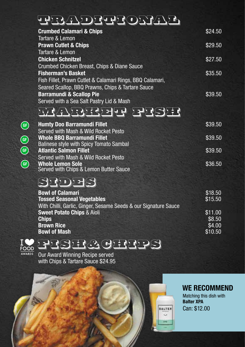## traditional

| <b>Crumbed Calamari &amp; Chips</b>                       | \$24.50 |
|-----------------------------------------------------------|---------|
| Tartare & Lemon                                           |         |
| <b>Prawn Cutlet &amp; Chips</b>                           | \$29.50 |
| Tartare & Lemon                                           |         |
| <b>Chicken Schnitzel</b>                                  | \$27.50 |
| Crumbed Chicken Breast, Chips & Diane Sauce               |         |
| <b>Fisherman's Basket</b>                                 | \$35.50 |
| Fish Fillet, Prawn Cutlet & Calamari Rings, BBQ Calamari, |         |
| Seared Scallop, BBQ Prawns, Chips & Tartare Sauce         |         |
| <b>Barramundi &amp; Scallop Pie</b>                       | \$39.50 |
| Served with a Sea Salt Pastry Lid & Mash                  |         |

## market fre

| <b>Humty Doo Barramundi Fillet</b>      | \$39.50 |
|-----------------------------------------|---------|
| Served with Mash & Wild Rocket Pesto    |         |
| <b>Whole BBQ Barramundi Fillet</b>      | \$39.50 |
| Balinese style with Spicy Tomato Sambal |         |
| <b>Atlantic Salmon Fillet</b>           | \$39.50 |
| Served with Mash & Wild Rocket Pesto    |         |
| <b>Whole Lemon Sole</b>                 | \$36.50 |
| Served with Chips & Lemon Butter Sauce  |         |

## sides

| <b>Bowl of Calamari</b>                                         | \$18.50 |
|-----------------------------------------------------------------|---------|
| <b>Tossed Seasonal Vegetables</b>                               | \$15.50 |
| With Chilli, Garlic, Ginger, Sesame Seeds & our Signature Sauce |         |
| <b>Sweet Potato Chips &amp; Aioli</b>                           | \$11.00 |
| <b>Chips</b>                                                    | \$8.50  |
| <b>Brown Rice</b>                                               | \$4.00  |
| <b>Bowl of Mash</b>                                             | \$10.50 |
|                                                                 |         |



**GF GF**

**GF** 

**GF**

fish&CHIPS

Our Award Winning Recipe served with Chips & Tartare Sauce \$24.95



Matching this dish with **Balter XPA**  Can: \$12.00

**BALTER**